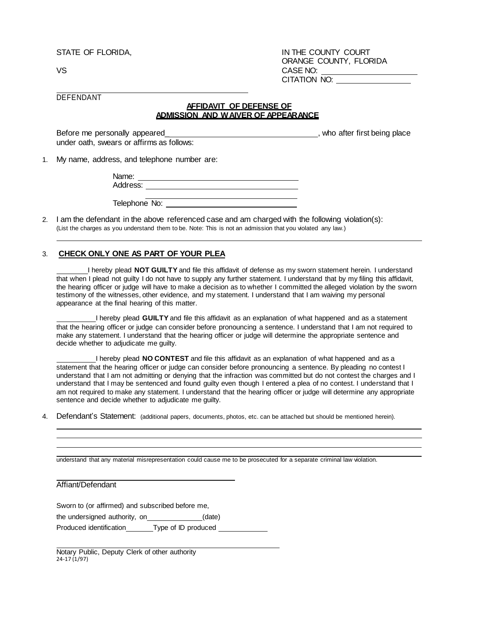STATE OF FLORIDA,

VS

IN THE COUNTY COURT ORANGE COUNTY, FLORIDA CASE NO: CITATION NO:

DEFENDANT

## **AFFIDAVIT OF DEFENSE OF ADMISSION AND WAIVER OF APPEARANCE**

Before me personally appeared Before me personally appeared by the personal personal personal personal personal personal personal personal personal personal personal personal personal personal personal personal personal personal personal personal perso under oath, swears or affirms as follows:

1. My name, address, and telephone number are:

: Address Name:

Telephone No:

2. I am the defendant in the above referenced case and am charged with the following violation(s): (List the charges as you understand them to be. Note: This is not an admission that you violated any law.)

## 3. **CHECK ONLY ONE AS PART OF YOUR PLEA**

I hereby plead **NOT GUILTY** and file this affidavit of defense as my sworn statement herein. I understand that when I plead not guilty I do not have to supply any further statement. I understand that by my filing this affidavit, the hearing officer or judge will have to make a decision as to whether I committed the alleged violation by the sworn testimony of the witnesses, other evidence, and my statement. I understand that I am waiving my personal appearance at the final hearing of this matter.

I hereby plead **GUILTY** and file this affidavit as an explanation of what happened and as a statement that the hearing officer or judge can consider before pronouncing a sentence. I understand that I am not required to make any statement. I understand that the hearing officer or judge will determine the appropriate sentence and decide whether to adjudicate me guilty.

I hereby plead **NO CONTEST** and file this affidavit as an explanation of what happened and as a statement that the hearing officer or judge can consider before pronouncing a sentence. By pleading no contest I understand that I am not admitting or denying that the infraction was committed but do not contest the charges and I understand that I may be sentenced and found guilty even though I entered a plea of no contest. I understand that I am not required to make any statement. I understand that the hearing officer or judge will determine any appropriate sentence and decide whether to adjudicate me guilty.

4. Defendant's Statement: (additional papers, documents, photos, etc. can be attached but should be mentioned herein).

understand that any material misrepresentation could cause me to be prosecuted for a separate criminal law violation.

Affiant/Defendant

Sworn to (or affirmed) and subscribed before me,

the undersigned authority, on $\qquad \qquad \qquad$  (date)

Produced identification Type of ID produced

Notary Public, Deputy Clerk of other authority 24-17 (1/97)